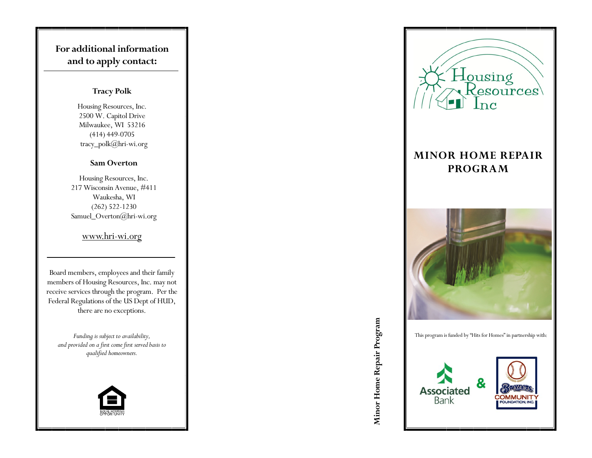# **For additional information and to apply contact:**

#### **Tracy Polk**

Housing Resources, Inc. 2500 W. Capitol Drive Milwaukee, WI 53216 (414) 449 -0705 tracy\_polk@hri -wi.org

#### **Sam Overton**

Housing Resources, Inc. 217 Wisconsin Avenue, #411 Waukesha, WI (262) 522 -1230 Samuel\_Overton@hri -wi.org

### www.hri -wi.org

Board members, employees and their family members of Housing Resources, Inc. may not receive services through the program. Per the Federal Regulations of the US Dept of HUD, there are no exceptions.

*Funding is subject to availability, and provided on a first come first served basis to qualified homeowners.*





# **MINOR HOME REPAIR PROGRAM**



Minor Home Repair Program **Minor Home Repair Program**